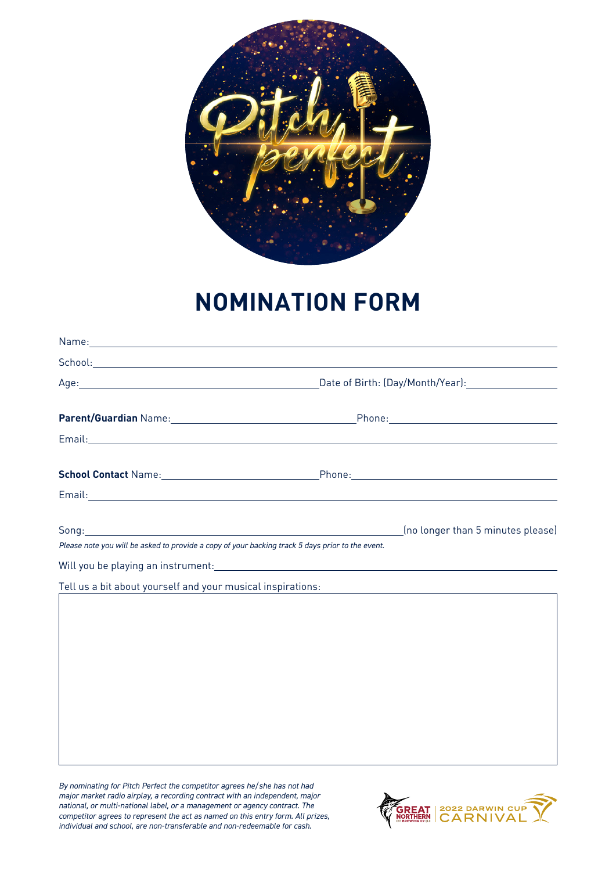

## **NOMINATION FORM**

|                                                                                                  | Email: North American Communication of the Communication of the Communication of the Communication of the Communication of the Communication of the Communication of the Communication of the Communication of the Communicati       |
|--------------------------------------------------------------------------------------------------|--------------------------------------------------------------------------------------------------------------------------------------------------------------------------------------------------------------------------------------|
|                                                                                                  |                                                                                                                                                                                                                                      |
|                                                                                                  | Email: <u>Alexander Adam and American and American and American and American and American and American and American and American and American and American and American and American and American and American and American and </u> |
| Please note you will be asked to provide a copy of your backing track 5 days prior to the event. | (no longer than 5 minutes please)                                                                                                                                                                                                    |
|                                                                                                  |                                                                                                                                                                                                                                      |
|                                                                                                  | Tell us a bit about yourself and <u>your musical inspirations:</u>                                                                                                                                                                   |
|                                                                                                  |                                                                                                                                                                                                                                      |
|                                                                                                  |                                                                                                                                                                                                                                      |
|                                                                                                  |                                                                                                                                                                                                                                      |
|                                                                                                  |                                                                                                                                                                                                                                      |
|                                                                                                  |                                                                                                                                                                                                                                      |
|                                                                                                  |                                                                                                                                                                                                                                      |

*By nominating for Pitch Perfect the competitor agrees he/she has not had major market radio airplay, a recording contract with an independent, major national, or multi-national label, or a management or agency contract. The competitor agrees to represent the act as named on this entry form. All prizes, individual and school, are non-transferable and non-redeemable for cash.*